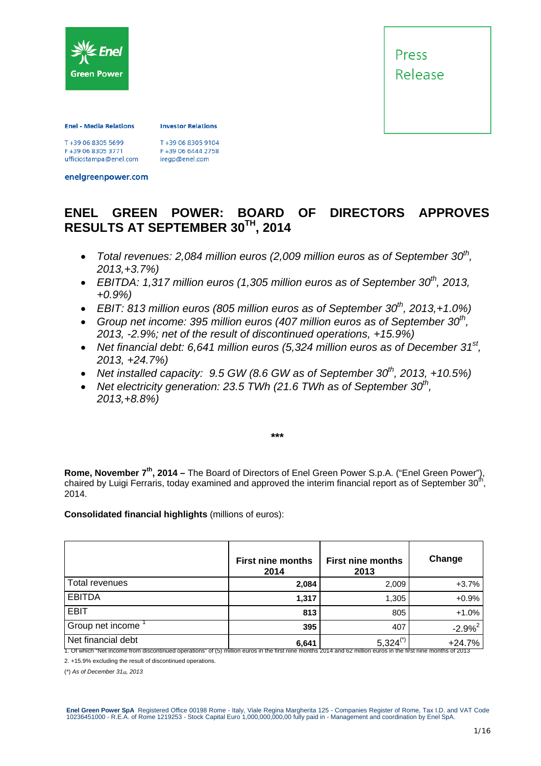

Press Release

#### **Enel - Media Relations**

**Investor Relations** 

F+39 06 8305 3771 ufficiostampa@enel.com T+39 06 8305 9104 F+39 06 6444 2758 iregp@enel.com

enelgreenpower.com

## **ENEL GREEN POWER: BOARD OF DIRECTORS APPROVES RESULTS AT SEPTEMBER 30TH, 2014**

- Total revenues: 2,084 million euros (2,009 million euros as of September 30<sup>th</sup>, *2013,+3.7%)*
- EBITDA: 1,317 million euros (1,305 million euros as of September  $30^{th}$ , 2013, *+0.9%)*
- $\bullet$  *EBIT: 813 million euros (805 million euros as of September 30<sup>th</sup>, 2013.+1.0%)*
- Group net income: 395 million euros (407 million euros as of September 30<sup>th</sup>, *2013, -2.9%; net of the result of discontinued operations, +15.9%)*
- *Net financial debt: 6,641 million euros (5,324 million euros as of December 31st, 2013, +24.7%)*
- Net installed capacity:  $9.5$  GW (8.6 GW as of September  $30^{th}$ , 2013,  $+10.5\%$ )
- Net electricity generation: 23.5 TWh (21.6 TWh as of September 30<sup>th</sup>, *2013,+8.8%)*

*\*\*\** 

**Rome, November 7th, 2014 –** The Board of Directors of Enel Green Power S.p.A. ("Enel Green Power"), chaired by Luigi Ferraris, today examined and approved the interim financial report as of September 30<sup>th</sup>, 2014.

**Consolidated financial highlights** (millions of euros):

|                    | <b>First nine months</b><br>2014 | <b>First nine months</b><br>2013 | Change       |
|--------------------|----------------------------------|----------------------------------|--------------|
| Total revenues     | 2,084                            | 2,009                            | $+3.7%$      |
| <b>EBITDA</b>      | 1,317                            | 1,305                            | $+0.9%$      |
| <b>EBIT</b>        | 813                              | 805                              | $+1.0%$      |
| Group net income   | 395                              | 407                              | $-2.9%^{2}$  |
| Net financial debt | C CAA                            | $5.324(*)$                       | $\pm$ 24 70/ |

Net financial debt **6,641**  $\left.\begin{array}{c} 6,641 & 5,324^{(1)} \end{array}\right.$   $+24.7\%$ 

2. +15.9% excluding the result of discontinued operations.

(\*) *As of December 31st, 2013* 

Enel Green Power SpA Registered Office 00198 Rome - Italy, Viale Regina Margherita 125 - Companies Register of Rome, Tax I.D. and VAT Code<br>10236451000 - R.E.A. of Rome 1219253 - Stock Capital Euro 1,000,000,000,000 fully p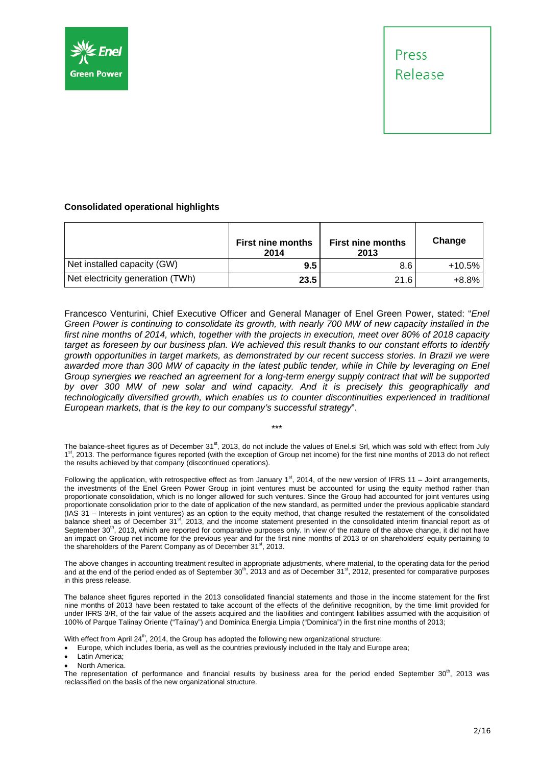



#### **Consolidated operational highlights**

|                                  | <b>First nine months</b><br>2014 | <b>First nine months</b><br>2013 | Change   |
|----------------------------------|----------------------------------|----------------------------------|----------|
| Net installed capacity (GW)      | 9.5                              | 8.6                              | $+10.5%$ |
| Net electricity generation (TWh) | 23.5                             | 21.6                             | +8.8%    |

Francesco Venturini, Chief Executive Officer and General Manager of Enel Green Power, stated: "*Enel Green Power is continuing to consolidate its growth, with nearly 700 MW of new capacity installed in the first nine months of 2014, which, together with the projects in execution, meet over 80% of 2018 capacity target as foreseen by our business plan. We achieved this result thanks to our constant efforts to identify growth opportunities in target markets, as demonstrated by our recent success stories. In Brazil we were*  awarded more than 300 MW of capacity in the latest public tender, while in Chile by leveraging on Enel *Group synergies we reached an agreement for a long-term energy supply contract that will be supported by over 300 MW of new solar and wind capacity. And it is precisely this geographically and technologically diversified growth, which enables us to counter discontinuities experienced in traditional European markets, that is the key to our company's successful strategy*".

The balance-sheet figures as of December  $31^{st}$ , 2013, do not include the values of Enel.si Srl, which was sold with effect from July 1<sup>st</sup>, 2013. The performance figures reported (with the exception of Group net income) for the first nine months of 2013 do not reflect the results achieved by that company (discontinued operations).

\*\*\*

Following the application, with retrospective effect as from January 1st, 2014, of the new version of IFRS 11 – Joint arrangements, the investments of the Enel Green Power Group in joint ventures must be accounted for using the equity method rather than proportionate consolidation, which is no longer allowed for such ventures. Since the Group had accounted for joint ventures using proportionate consolidation prior to the date of application of the new standard, as permitted under the previous applicable standard (IAS 31 – Interests in joint ventures) as an option to the equity method, that change resulted the restatement of the consolidated balance sheet as of December 31<sup>st</sup>, 2013, and the income statement presented in the consolidated interim financial report as of September 30<sup>th</sup>, 2013, which are reported for comparative purposes only. In view of the nature of the above change, it did not have an impact on Group net income for the previous year and for the first nine months of 2013 or on shareholders' equity pertaining to the shareholders of the Parent Company as of December 31 $^{\rm st}$ , 2013.

The above changes in accounting treatment resulted in appropriate adjustments, where material, to the operating data for the period and at the end of the period ended as of September  $30^{\text{th}}$ , 2013 and as of December  $31^{\text{st}}$ , 2012, presented for comparative purposes in this press release.

The balance sheet figures reported in the 2013 consolidated financial statements and those in the income statement for the first nine months of 2013 have been restated to take account of the effects of the definitive recognition, by the time limit provided for under IFRS 3/R, of the fair value of the assets acquired and the liabilities and contingent liabilities assumed with the acquisition of 100% of Parque Talinay Oriente ("Talinay") and Dominica Energia Limpia ("Dominica") in the first nine months of 2013;

With effect from April 24 $<sup>th</sup>$ , 2014, the Group has adopted the following new organizational structure:</sup>

Europe, which includes Iberia, as well as the countries previously included in the Italy and Europe area;

Latin America;

North America.

The representation of performance and financial results by business area for the period ended September  $30<sup>th</sup>$ , 2013 was reclassified on the basis of the new organizational structure.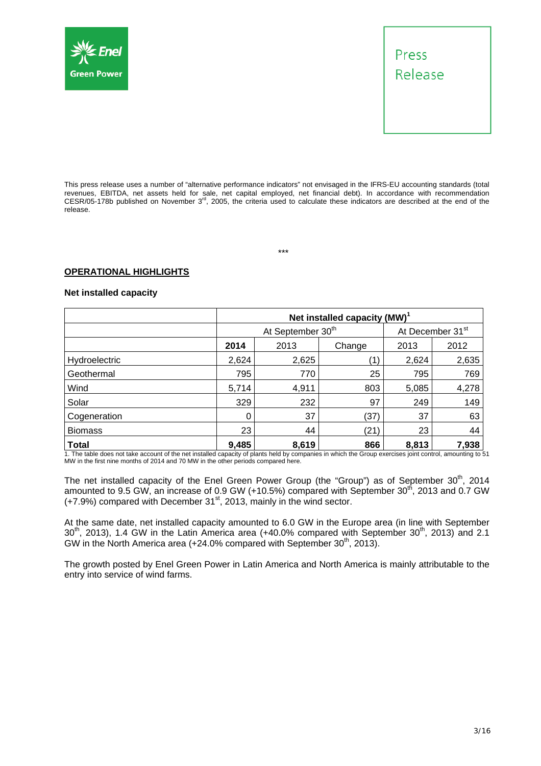



This press release uses a number of "alternative performance indicators" not envisaged in the IFRS-EU accounting standards (total revenues, EBITDA, net assets held for sale, net capital employed, net financial debt). In accordance with recommendation CESR/05-178b published on November  $3<sup>rd</sup>$ , 2005, the criteria used to calculate these indicators are described at the end of the release.

\*\*\*

#### **OPERATIONAL HIGHLIGHTS**

#### **Net installed capacity**

|                | Net installed capacity (MW) <sup>1</sup> |                               |      |                              |       |  |
|----------------|------------------------------------------|-------------------------------|------|------------------------------|-------|--|
|                |                                          | At September 30 <sup>th</sup> |      | At December 31 <sup>st</sup> |       |  |
|                | 2014<br>2013<br>Change                   |                               |      | 2013                         | 2012  |  |
| Hydroelectric  | 2,624                                    | 2,625                         |      | 2,624                        | 2,635 |  |
| Geothermal     | 795                                      | 770                           | 25   | 795                          | 769   |  |
| Wind           | 5,714                                    | 4,911                         | 803  | 5,085                        | 4,278 |  |
| Solar          | 329                                      | 232                           | 97   | 249                          | 149   |  |
| Cogeneration   | 0                                        | 37                            | (37) | 37                           | 63    |  |
| <b>Biomass</b> | 23                                       | 44                            | (21) | 23                           | 44    |  |
| <b>Total</b>   | 9,485                                    | 8,619                         | 866  | 8,813                        | 7,938 |  |

1. The table does not take account of the net installed capacity of plants held by companies in which the Group exercises joint control, amounting to 51 MW in the first nine months of 2014 and 70 MW in the other periods compared here.

The net installed capacity of the Enel Green Power Group (the "Group") as of September  $30<sup>th</sup>$ , 2014 amounted to 9.5 GW, an increase of 0.9 GW (+10.5%) compared with September 30<sup>th</sup>, 2013 and 0.7 GW  $(+7.9%)$  compared with December 31 $^{\text{st}}$ , 2013, mainly in the wind sector.

At the same date, net installed capacity amounted to 6.0 GW in the Europe area (in line with September  $30<sup>th</sup>$ , 2013), 1.4 GW in the Latin America area (+40.0% compared with September  $30<sup>th</sup>$ , 2013) and 2.1 GW in the North America area  $(+24.0\%$  compared with September 30<sup>th</sup>, 2013).

The growth posted by Enel Green Power in Latin America and North America is mainly attributable to the entry into service of wind farms.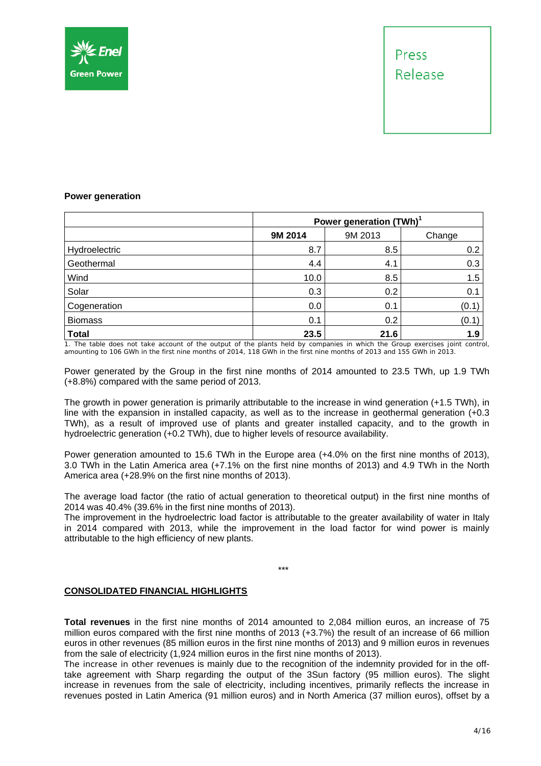

#### **Power generation**

|                |         | Power generation (TWh) <sup>1</sup> |        |  |  |  |
|----------------|---------|-------------------------------------|--------|--|--|--|
|                | 9M 2014 | 9M 2013                             | Change |  |  |  |
| Hydroelectric  | 8.7     | 8.5                                 | 0.2    |  |  |  |
| Geothermal     | 4.4     | 4.1                                 | 0.3    |  |  |  |
| Wind           | 10.0    | 8.5                                 | 1.5    |  |  |  |
| Solar          | 0.3     | 0.2                                 | 0.1    |  |  |  |
| Cogeneration   | 0.0     | 0.1                                 | (0.1)  |  |  |  |
| <b>Biomass</b> | 0.1     | 0.2                                 | (0.1)  |  |  |  |
| <b>Total</b>   | 23.5    | 21.6                                | 1.9    |  |  |  |

1. The table does not take account of the output of the plants held by companies in which the Group exercises joint control, amounting to 106 GWh in the first nine months of 2014, 118 GWh in the first nine months of 2013 and 155 GWh in 2013.

Power generated by the Group in the first nine months of 2014 amounted to 23.5 TWh, up 1.9 TWh (+8.8%) compared with the same period of 2013.

The growth in power generation is primarily attributable to the increase in wind generation (+1.5 TWh), in line with the expansion in installed capacity, as well as to the increase in geothermal generation (+0.3 TWh), as a result of improved use of plants and greater installed capacity, and to the growth in hydroelectric generation (+0.2 TWh), due to higher levels of resource availability.

Power generation amounted to 15.6 TWh in the Europe area (+4.0% on the first nine months of 2013), 3.0 TWh in the Latin America area (+7.1% on the first nine months of 2013) and 4.9 TWh in the North America area (+28.9% on the first nine months of 2013).

The average load factor (the ratio of actual generation to theoretical output) in the first nine months of 2014 was 40.4% (39.6% in the first nine months of 2013).

The improvement in the hydroelectric load factor is attributable to the greater availability of water in Italy in 2014 compared with 2013, while the improvement in the load factor for wind power is mainly attributable to the high efficiency of new plants.

#### \*\*\*

#### **CONSOLIDATED FINANCIAL HIGHLIGHTS**

**Total revenues** in the first nine months of 2014 amounted to 2,084 million euros, an increase of 75 million euros compared with the first nine months of 2013 (+3.7%) the result of an increase of 66 million euros in other revenues (85 million euros in the first nine months of 2013) and 9 million euros in revenues from the sale of electricity (1,924 million euros in the first nine months of 2013).

The increase in other revenues is mainly due to the recognition of the indemnity provided for in the offtake agreement with Sharp regarding the output of the 3Sun factory (95 million euros). The slight increase in revenues from the sale of electricity, including incentives, primarily reflects the increase in revenues posted in Latin America (91 million euros) and in North America (37 million euros), offset by a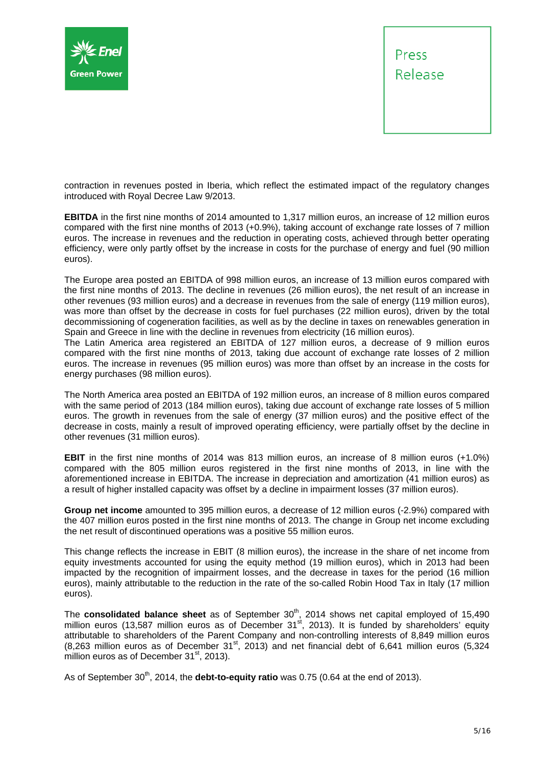



contraction in revenues posted in Iberia, which reflect the estimated impact of the regulatory changes introduced with Royal Decree Law 9/2013.

**EBITDA** in the first nine months of 2014 amounted to 1,317 million euros, an increase of 12 million euros compared with the first nine months of 2013 (+0.9%), taking account of exchange rate losses of 7 million euros. The increase in revenues and the reduction in operating costs, achieved through better operating efficiency, were only partly offset by the increase in costs for the purchase of energy and fuel (90 million euros).

The Europe area posted an EBITDA of 998 million euros, an increase of 13 million euros compared with the first nine months of 2013. The decline in revenues (26 million euros), the net result of an increase in other revenues (93 million euros) and a decrease in revenues from the sale of energy (119 million euros), was more than offset by the decrease in costs for fuel purchases (22 million euros), driven by the total decommissioning of cogeneration facilities, as well as by the decline in taxes on renewables generation in Spain and Greece in line with the decline in revenues from electricity (16 million euros).

The Latin America area registered an EBITDA of 127 million euros, a decrease of 9 million euros compared with the first nine months of 2013, taking due account of exchange rate losses of 2 million euros. The increase in revenues (95 million euros) was more than offset by an increase in the costs for energy purchases (98 million euros).

The North America area posted an EBITDA of 192 million euros, an increase of 8 million euros compared with the same period of 2013 (184 million euros), taking due account of exchange rate losses of 5 million euros. The growth in revenues from the sale of energy (37 million euros) and the positive effect of the decrease in costs, mainly a result of improved operating efficiency, were partially offset by the decline in other revenues (31 million euros).

**EBIT** in the first nine months of 2014 was 813 million euros, an increase of 8 million euros (+1.0%) compared with the 805 million euros registered in the first nine months of 2013, in line with the aforementioned increase in EBITDA. The increase in depreciation and amortization (41 million euros) as a result of higher installed capacity was offset by a decline in impairment losses (37 million euros).

**Group net income** amounted to 395 million euros, a decrease of 12 million euros (-2.9%) compared with the 407 million euros posted in the first nine months of 2013. The change in Group net income excluding the net result of discontinued operations was a positive 55 million euros.

This change reflects the increase in EBIT (8 million euros), the increase in the share of net income from equity investments accounted for using the equity method (19 million euros), which in 2013 had been impacted by the recognition of impairment losses, and the decrease in taxes for the period (16 million euros), mainly attributable to the reduction in the rate of the so-called Robin Hood Tax in Italy (17 million euros).

The **consolidated balance sheet** as of September 30<sup>th</sup>, 2014 shows net capital employed of 15,490 million euros (13,587 million euros as of December 31<sup>st</sup>, 2013). It is funded by shareholders' equity attributable to shareholders of the Parent Company and non-controlling interests of 8,849 million euros  $(8.263$  million euros as of December 31<sup>st</sup>, 2013) and net financial debt of 6,641 million euros (5,324 million euros as of December  $31<sup>st</sup>$ , 2013).

As of September 30<sup>th</sup>, 2014, the **debt-to-equity ratio** was 0.75 (0.64 at the end of 2013).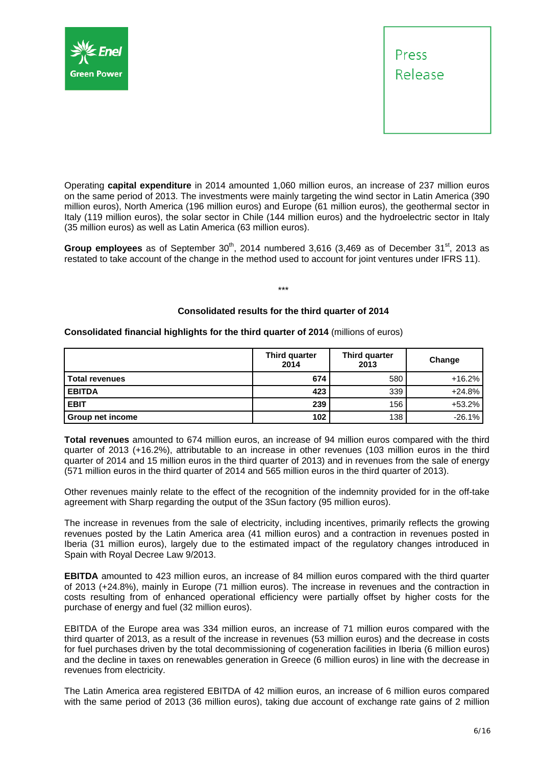



Operating **capital expenditure** in 2014 amounted 1,060 million euros, an increase of 237 million euros on the same period of 2013. The investments were mainly targeting the wind sector in Latin America (390 million euros), North America (196 million euros) and Europe (61 million euros), the geothermal sector in Italy (119 million euros), the solar sector in Chile (144 million euros) and the hydroelectric sector in Italy (35 million euros) as well as Latin America (63 million euros).

Group employees as of September 30<sup>th</sup>, 2014 numbered 3,616 (3,469 as of December 31<sup>st</sup>, 2013 as restated to take account of the change in the method used to account for joint ventures under IFRS 11).

\*\*\*

#### **Consolidated results for the third quarter of 2014**

#### **Consolidated financial highlights for the third quarter of 2014** (millions of euros)

|                       | <b>Third quarter</b><br>Third quarter<br>2014<br>2013 |     | Change   |
|-----------------------|-------------------------------------------------------|-----|----------|
| <b>Total revenues</b> | 674                                                   | 580 | $+16.2%$ |
| <b>EBITDA</b>         | 423                                                   | 339 | $+24.8%$ |
| <b>EBIT</b>           | 239                                                   | 156 | +53.2%   |
| Group net income      | 102                                                   | 138 | $-26.1%$ |

**Total revenues** amounted to 674 million euros, an increase of 94 million euros compared with the third quarter of 2013 (+16.2%), attributable to an increase in other revenues (103 million euros in the third quarter of 2014 and 15 million euros in the third quarter of 2013) and in revenues from the sale of energy (571 million euros in the third quarter of 2014 and 565 million euros in the third quarter of 2013).

Other revenues mainly relate to the effect of the recognition of the indemnity provided for in the off-take agreement with Sharp regarding the output of the 3Sun factory (95 million euros).

The increase in revenues from the sale of electricity, including incentives, primarily reflects the growing revenues posted by the Latin America area (41 million euros) and a contraction in revenues posted in Iberia (31 million euros), largely due to the estimated impact of the regulatory changes introduced in Spain with Royal Decree Law 9/2013.

**EBITDA** amounted to 423 million euros, an increase of 84 million euros compared with the third quarter of 2013 (+24.8%), mainly in Europe (71 million euros). The increase in revenues and the contraction in costs resulting from of enhanced operational efficiency were partially offset by higher costs for the purchase of energy and fuel (32 million euros).

EBITDA of the Europe area was 334 million euros, an increase of 71 million euros compared with the third quarter of 2013, as a result of the increase in revenues (53 million euros) and the decrease in costs for fuel purchases driven by the total decommissioning of cogeneration facilities in Iberia (6 million euros) and the decline in taxes on renewables generation in Greece (6 million euros) in line with the decrease in revenues from electricity.

The Latin America area registered EBITDA of 42 million euros, an increase of 6 million euros compared with the same period of 2013 (36 million euros), taking due account of exchange rate gains of 2 million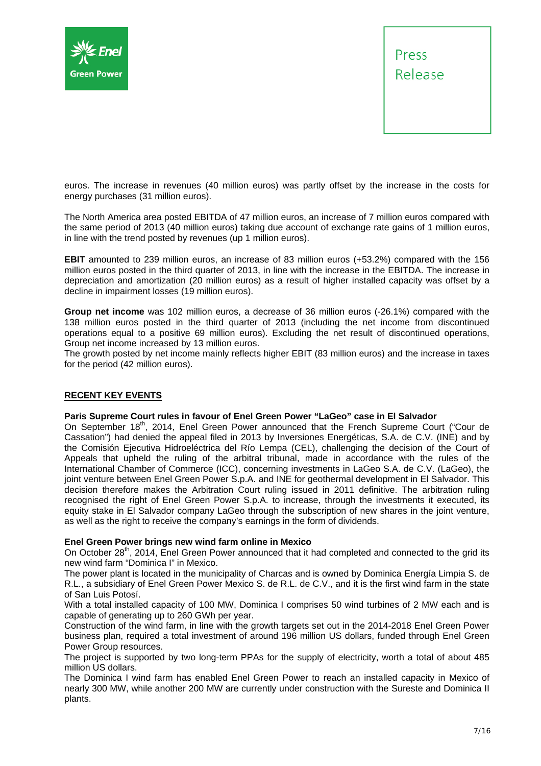



euros. The increase in revenues (40 million euros) was partly offset by the increase in the costs for energy purchases (31 million euros).

The North America area posted EBITDA of 47 million euros, an increase of 7 million euros compared with the same period of 2013 (40 million euros) taking due account of exchange rate gains of 1 million euros, in line with the trend posted by revenues (up 1 million euros).

**EBIT** amounted to 239 million euros, an increase of 83 million euros (+53.2%) compared with the 156 million euros posted in the third quarter of 2013, in line with the increase in the EBITDA. The increase in depreciation and amortization (20 million euros) as a result of higher installed capacity was offset by a decline in impairment losses (19 million euros).

**Group net income** was 102 million euros, a decrease of 36 million euros (-26.1%) compared with the 138 million euros posted in the third quarter of 2013 (including the net income from discontinued operations equal to a positive 69 million euros). Excluding the net result of discontinued operations, Group net income increased by 13 million euros.

The growth posted by net income mainly reflects higher EBIT (83 million euros) and the increase in taxes for the period (42 million euros).

#### **RECENT KEY EVENTS**

#### **Paris Supreme Court rules in favour of Enel Green Power "LaGeo" case in El Salvador**

On September 18<sup>th</sup>, 2014, Enel Green Power announced that the French Supreme Court ("Cour de Cassation") had denied the appeal filed in 2013 by Inversiones Energéticas, S.A. de C.V. (INE) and by the Comisión Ejecutiva Hidroeléctrica del Río Lempa (CEL), challenging the decision of the Court of Appeals that upheld the ruling of the arbitral tribunal, made in accordance with the rules of the International Chamber of Commerce (ICC), concerning investments in LaGeo S.A. de C.V. (LaGeo), the joint venture between Enel Green Power S.p.A. and INE for geothermal development in El Salvador. This decision therefore makes the Arbitration Court ruling issued in 2011 definitive. The arbitration ruling recognised the right of Enel Green Power S.p.A. to increase, through the investments it executed, its equity stake in El Salvador company LaGeo through the subscription of new shares in the joint venture, as well as the right to receive the company's earnings in the form of dividends.

#### **Enel Green Power brings new wind farm online in Mexico**

On October 28<sup>th</sup>, 2014, Enel Green Power announced that it had completed and connected to the grid its new wind farm "Dominica I" in Mexico.

The power plant is located in the municipality of Charcas and is owned by Dominica Energía Limpia S. de R.L., a subsidiary of Enel Green Power Mexico S. de R.L. de C.V., and it is the first wind farm in the state of San Luis Potosí.

With a total installed capacity of 100 MW. Dominica I comprises 50 wind turbines of 2 MW each and is capable of generating up to 260 GWh per year.

Construction of the wind farm, in line with the growth targets set out in the 2014-2018 Enel Green Power business plan, required a total investment of around 196 million US dollars, funded through Enel Green Power Group resources.

The project is supported by two long-term PPAs for the supply of electricity, worth a total of about 485 million US dollars.

The Dominica I wind farm has enabled Enel Green Power to reach an installed capacity in Mexico of nearly 300 MW, while another 200 MW are currently under construction with the Sureste and Dominica II plants.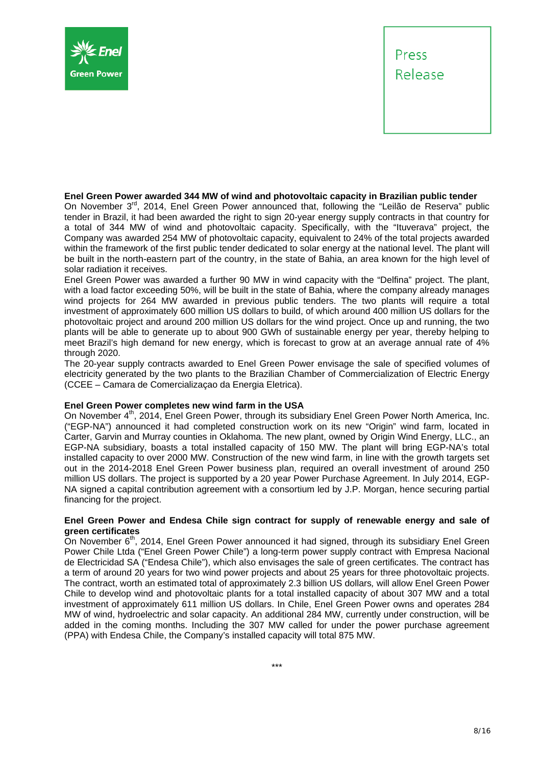



#### **Enel Green Power awarded 344 MW of wind and photovoltaic capacity in Brazilian public tender**

On November 3<sup>rd</sup>, 2014, Enel Green Power announced that, following the "Leilão de Reserva" public tender in Brazil, it had been awarded the right to sign 20-year energy supply contracts in that country for a total of 344 MW of wind and photovoltaic capacity. Specifically, with the "Ituverava" project, the Company was awarded 254 MW of photovoltaic capacity, equivalent to 24% of the total projects awarded within the framework of the first public tender dedicated to solar energy at the national level. The plant will be built in the north-eastern part of the country, in the state of Bahia, an area known for the high level of solar radiation it receives.

Enel Green Power was awarded a further 90 MW in wind capacity with the "Delfina" project. The plant, with a load factor exceeding 50%, will be built in the state of Bahia, where the company already manages wind projects for 264 MW awarded in previous public tenders. The two plants will require a total investment of approximately 600 million US dollars to build, of which around 400 million US dollars for the photovoltaic project and around 200 million US dollars for the wind project. Once up and running, the two plants will be able to generate up to about 900 GWh of sustainable energy per year, thereby helping to meet Brazil's high demand for new energy, which is forecast to grow at an average annual rate of 4% through 2020.

The 20-year supply contracts awarded to Enel Green Power envisage the sale of specified volumes of electricity generated by the two plants to the Brazilian Chamber of Commercialization of Electric Energy (CCEE – Camara de Comercializaçao da Energia Eletrica).

#### **Enel Green Power completes new wind farm in the USA**

On November 4<sup>th</sup>, 2014, Enel Green Power, through its subsidiary Enel Green Power North America, Inc. ("EGP-NA") announced it had completed construction work on its new "Origin" wind farm, located in Carter, Garvin and Murray counties in Oklahoma. The new plant, owned by Origin Wind Energy, LLC., an EGP-NA subsidiary, boasts a total installed capacity of 150 MW. The plant will bring EGP-NA's total installed capacity to over 2000 MW. Construction of the new wind farm, in line with the growth targets set out in the 2014-2018 Enel Green Power business plan, required an overall investment of around 250 million US dollars. The project is supported by a 20 year Power Purchase Agreement. In July 2014, EGP-NA signed a capital contribution agreement with a consortium led by J.P. Morgan, hence securing partial financing for the project.

#### **Enel Green Power and Endesa Chile sign contract for supply of renewable energy and sale of green certificates**

On November 6<sup>th</sup>, 2014, Enel Green Power announced it had signed, through its subsidiary Enel Green Power Chile Ltda ("Enel Green Power Chile") a long-term power supply contract with Empresa Nacional de Electricidad SA ("Endesa Chile"), which also envisages the sale of green certificates. The contract has a term of around 20 years for two wind power projects and about 25 years for three photovoltaic projects. The contract, worth an estimated total of approximately 2.3 billion US dollars*,* will allow Enel Green Power Chile to develop wind and photovoltaic plants for a total installed capacity of about 307 MW and a total investment of approximately 611 million US dollars. In Chile, Enel Green Power owns and operates 284 MW of wind, hydroelectric and solar capacity. An additional 284 MW, currently under construction, will be added in the coming months. Including the 307 MW called for under the power purchase agreement (PPA) with Endesa Chile, the Company's installed capacity will total 875 MW.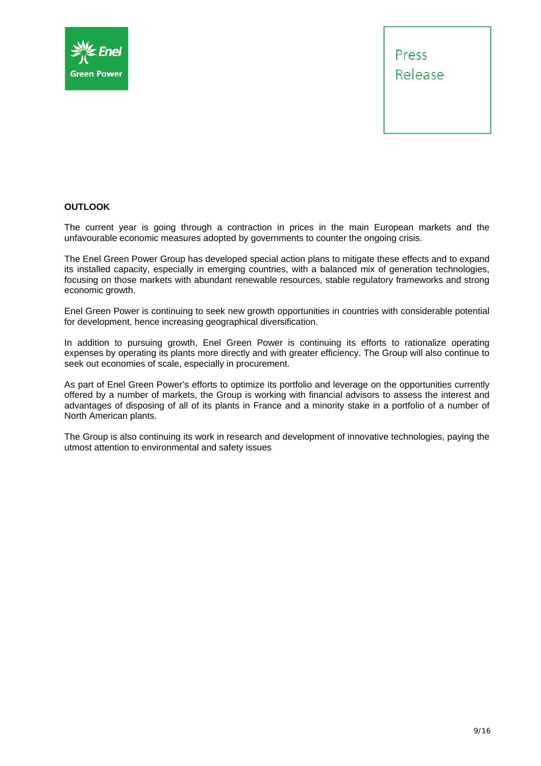



#### **OUTLOOK**

The current year is going through a contraction in prices in the main European markets and the unfavourable economic measures adopted by governments to counter the ongoing crisis.

The Enel Green Power Group has developed special action plans to mitigate these effects and to expand its installed capacity, especially in emerging countries, with a balanced mix of generation technologies, focusing on those markets with abundant renewable resources, stable regulatory frameworks and strong economic growth.

Enel Green Power is continuing to seek new growth opportunities in countries with considerable potential for development, hence increasing geographical diversification.

In addition to pursuing growth, Enel Green Power is continuing its efforts to rationalize operating expenses by operating its plants more directly and with greater efficiency. The Group will also continue to seek out economies of scale, especially in procurement.

As part of Enel Green Power's efforts to optimize its portfolio and leverage on the opportunities currently offered by a number of markets, the Group is working with financial advisors to assess the interest and advantages of disposing of all of its plants in France and a minority stake in a portfolio of a number of North American plants.

The Group is also continuing its work in research and development of innovative technologies, paying the utmost attention to environmental and safety issues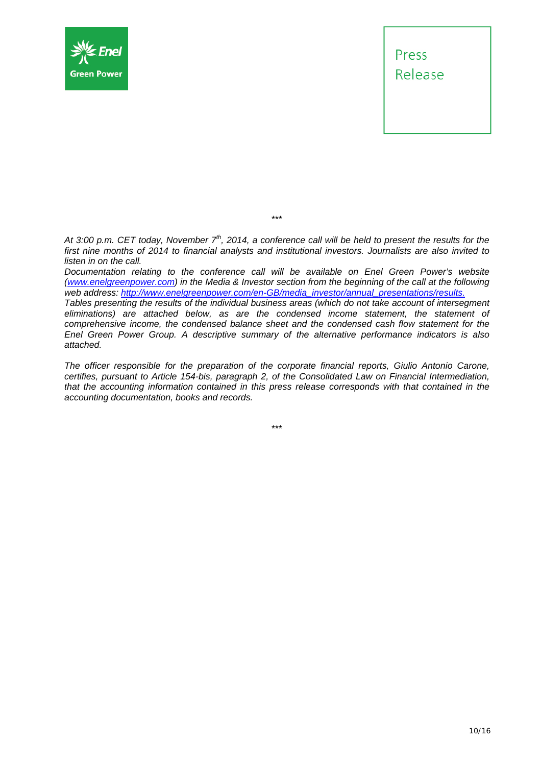



*At 3:00 p.m. CET today, November 7th, 2014, a conference call will be held to present the results for the first nine months of 2014 to financial analysts and institutional investors. Journalists are also invited to listen in on the call.* 

\*\*\*

*Documentation relating to the conference call will be available on Enel Green Power's website (www.enelgreenpower.com) in the Media & Investor section from the beginning of the call at the following web address: http://www.enelgreenpower.com/en-GB/media\_investor/annual\_presentations/results. Tables presenting the results of the individual business areas (which do not take account of intersegment eliminations) are attached below, as are the condensed income statement, the statement of comprehensive income, the condensed balance sheet and the condensed cash flow statement for the Enel Green Power Group. A descriptive summary of the alternative performance indicators is also attached.* 

*The officer responsible for the preparation of the corporate financial reports, Giulio Antonio Carone, certifies, pursuant to Article 154-bis, paragraph 2, of the Consolidated Law on Financial Intermediation, that the accounting information contained in this press release corresponds with that contained in the accounting documentation, books and records.* 

\*\*\*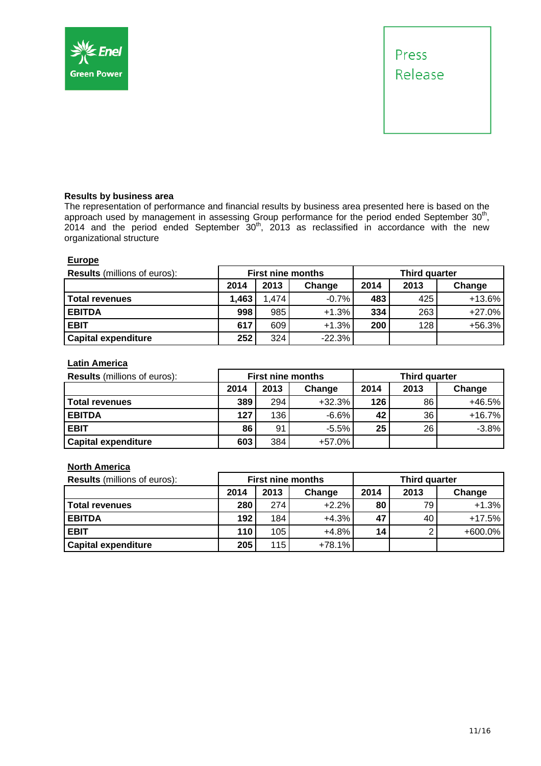



#### **Results by business area**

The representation of performance and financial results by business area presented here is based on the approach used by management in assessing Group performance for the period ended September  $30<sup>th</sup>$ ,  $2014$  and the period ended September  $30<sup>th</sup>$ , 2013 as reclassified in accordance with the new organizational structure

#### **Europe**

| <b>Results</b> (millions of euros): |       |       | <b>First nine months</b> | Third quarter |        |          |  |
|-------------------------------------|-------|-------|--------------------------|---------------|--------|----------|--|
|                                     | 2014  | 2013  | Change                   | 2014          | Change |          |  |
| <b>Total revenues</b>               | 1,463 | 1,474 | $-0.7%$                  | 483           | 425    | $+13.6%$ |  |
| <b>EBITDA</b>                       | 998   | 985   | $+1.3%$                  | 334           | 263    | $+27.0%$ |  |
| <b>EBIT</b>                         | 617   | 609   | $+1.3%$                  | 200           | 128    | $+56.3%$ |  |
| <b>Capital expenditure</b>          | 252   | 324   | $-22.3%$                 |               |        |          |  |

### **Latin America**

| <b>Results</b> (millions of euros): | <b>First nine months</b> |      |          | <b>Third quarter</b> |        |          |  |
|-------------------------------------|--------------------------|------|----------|----------------------|--------|----------|--|
|                                     | 2014                     | 2013 | Change   | 2014                 | Change |          |  |
| <b>Total revenues</b>               | 389                      | 294  | $+32.3%$ | 126                  | 86     | +46.5%   |  |
| <b>EBITDA</b>                       | 127                      | 136  | $-6.6%$  | 42                   | 36     | $+16.7%$ |  |
| <b>EBIT</b>                         | 86                       | 91   | $-5.5%$  | 25                   | 26     | $-3.8%$  |  |
| <b>Capital expenditure</b>          | 603                      | 384  | $+57.0%$ |                      |        |          |  |

#### **North America**

| <b>Results</b> (millions of euros): | <b>First nine months</b> |      |         | <b>Third quarter</b> |        |            |  |
|-------------------------------------|--------------------------|------|---------|----------------------|--------|------------|--|
|                                     | 2014                     | 2013 | Change  | 2014                 | Change |            |  |
| <b>Total revenues</b>               | 280                      | 274  | $+2.2%$ | 80                   | 79     | $+1.3%$    |  |
| <b>EBITDA</b>                       | 192                      | 184  | $+4.3%$ | 47                   | 40     | $+17.5%$   |  |
| <b>EBIT</b>                         | 110                      | 105  | $+4.8%$ | 14                   |        | $+600.0\%$ |  |
| <b>Capital expenditure</b>          | 205                      | 115  | +78.1%  |                      |        |            |  |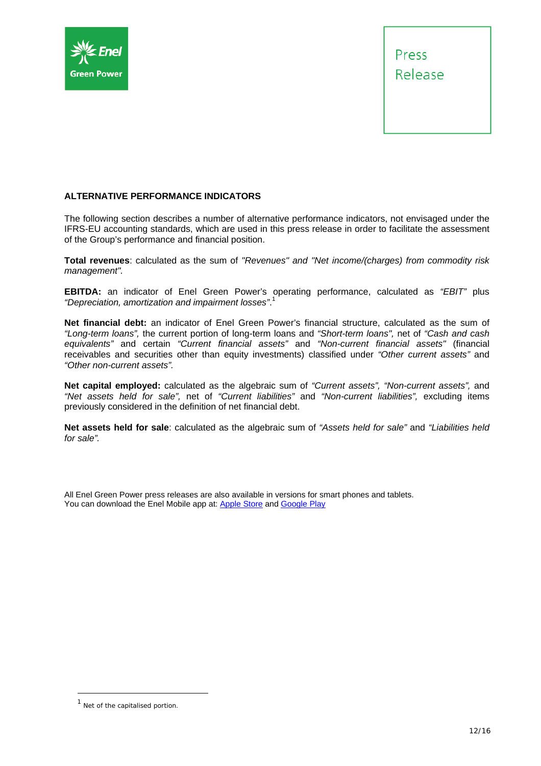



#### **ALTERNATIVE PERFORMANCE INDICATORS**

The following section describes a number of alternative performance indicators, not envisaged under the IFRS-EU accounting standards, which are used in this press release in order to facilitate the assessment of the Group's performance and financial position.

**Total revenues**: calculated as the sum of *"Revenues" and "Net income/(charges) from commodity risk management".* 

**EBITDA:** an indicator of Enel Green Power's operating performance, calculated as *"EBIT"* plus *"Depreciation, amortization and impairment losses"*. 1

**Net financial debt:** an indicator of Enel Green Power's financial structure, calculated as the sum of *"Long-term loans",* the current portion of long-term loans and *"Short-term loans",* net of *"Cash and cash equivalents"* and certain *"Current financial assets"* and *"Non-current financial assets"* (financial receivables and securities other than equity investments) classified under *"Other current assets"* and *"Other non-current assets".*

**Net capital employed:** calculated as the algebraic sum of *"Current assets", "Non-current assets",* and *"Net assets held for sale",* net of *"Current liabilities"* and *"Non-current liabilities",* excluding items previously considered in the definition of net financial debt.

**Net assets held for sale**: calculated as the algebraic sum of *"Assets held for sale"* and *"Liabilities held for sale".* 

All Enel Green Power press releases are also available in versions for smart phones and tablets. You can download the Enel Mobile app at: Apple Store and Google Play

<sup>&</sup>lt;sup>1</sup> Net of the capitalised portion.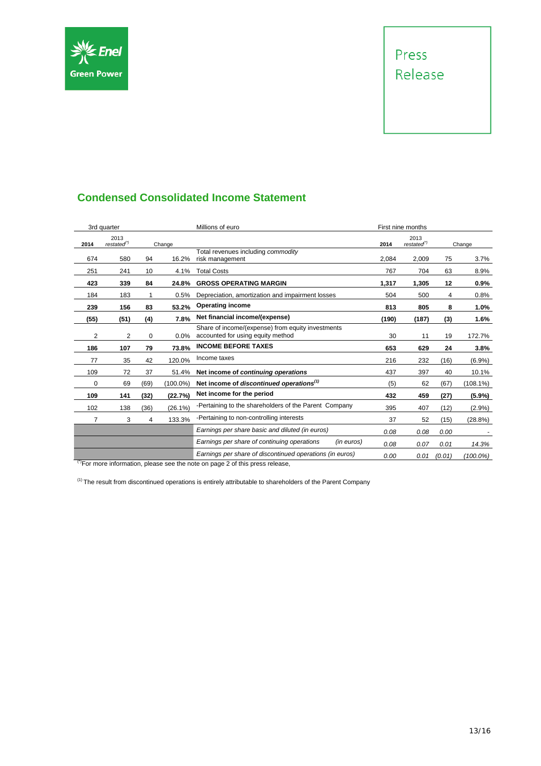

# Press Release

## **Condensed Consolidated Income Statement**

|      | 3rd quarter                       |          |            | Millions of euro                                                                       |       | First nine months           |        |             |
|------|-----------------------------------|----------|------------|----------------------------------------------------------------------------------------|-------|-----------------------------|--------|-------------|
| 2014 | 2013<br>$restated^{\prime\prime}$ |          | Change     |                                                                                        | 2014  | 2013<br>$restated^{\prime}$ |        | Change      |
| 674  | 580                               | 94       | 16.2%      | Total revenues including commodity<br>risk management                                  | 2,084 | 2,009                       | 75     | 3.7%        |
| 251  | 241                               | 10       | 4.1%       | <b>Total Costs</b>                                                                     | 767   | 704                         | 63     | 8.9%        |
| 423  | 339                               | 84       | 24.8%      | <b>GROSS OPERATING MARGIN</b>                                                          | 1,317 | 1,305                       | 12     | 0.9%        |
| 184  | 183                               |          | 0.5%       | Depreciation, amortization and impairment losses                                       | 504   | 500                         | 4      | 0.8%        |
| 239  | 156                               | 83       | 53.2%      | <b>Operating income</b>                                                                | 813   | 805                         | 8      | 1.0%        |
| (55) | (51)                              | (4)      | 7.8%       | Net financial income/(expense)                                                         | (190) | (187)                       | (3)    | 1.6%        |
| 2    | 2                                 | $\Omega$ | 0.0%       | Share of income/(expense) from equity investments<br>accounted for using equity method | 30    | 11                          | 19     | 172.7%      |
| 186  | 107                               | 79       | 73.8%      | <b>INCOME BEFORE TAXES</b>                                                             | 653   | 629                         | 24     | 3.8%        |
| 77   | 35                                | 42       | 120.0%     | Income taxes                                                                           | 216   | 232                         | (16)   | $(6.9\%)$   |
| 109  | 72                                | 37       | 51.4%      | Net income of continuing operations                                                    | 437   | 397                         | 40     | 10.1%       |
| 0    | 69                                | (69)     | (100.0%)   | Net income of discontinued operations <sup>(1)</sup>                                   | (5)   | 62                          | (67)   | $(108.1\%)$ |
| 109  | 141                               | (32)     | (22.7%)    | Net income for the period                                                              | 432   | 459                         | (27)   | $(5.9\%)$   |
| 102  | 138                               | (36)     | $(26.1\%)$ | -Pertaining to the shareholders of the Parent Company                                  | 395   | 407                         | (12)   | $(2.9\%)$   |
| 7    | 3                                 | 4        | 133.3%     | -Pertaining to non-controlling interests                                               | 37    | 52                          | (15)   | (28.8%)     |
|      |                                   |          |            | Earnings per share basic and diluted (in euros)                                        | 0.08  | 0.08                        | 0.00   |             |
|      |                                   |          |            | Earnings per share of continuing operations<br>(in euros)                              | 0.08  | 0.07                        | 0.01   | 14.3%       |
|      |                                   |          |            | Earnings per share of discontinued operations (in euros)                               | 0.00  | 0.01                        | (0.01) | $(100.0\%)$ |

(\*)For more information, please see the note on page 2 of this press release,

 $(1)$  The result from discontinued operations is entirely attributable to shareholders of the Parent Company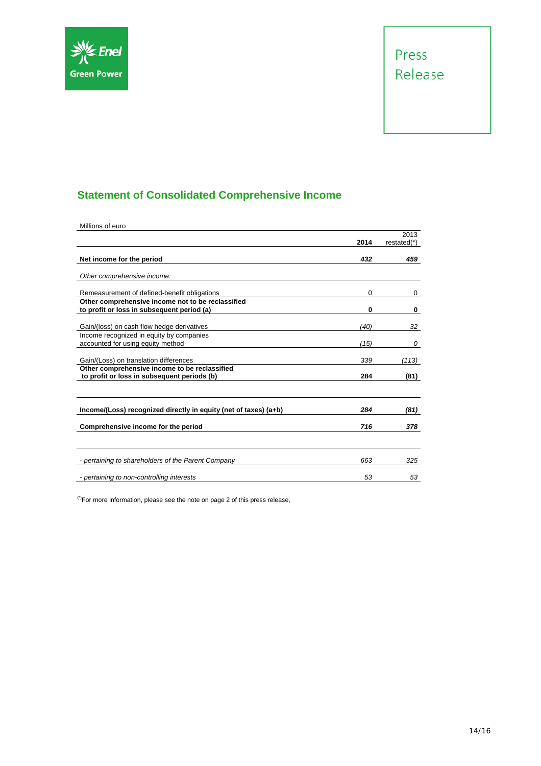

# **Statement of Consolidated Comprehensive Income**

| Millions of euro                                                 |      |                     |
|------------------------------------------------------------------|------|---------------------|
|                                                                  | 2014 | 2013<br>restated(*) |
|                                                                  |      |                     |
| Net income for the period                                        | 432  | 459                 |
| Other comprehensive income:                                      |      |                     |
|                                                                  |      |                     |
| Remeasurement of defined-benefit obligations                     | 0    | 0                   |
| Other comprehensive income not to be reclassified                |      |                     |
| to profit or loss in subsequent period (a)                       | 0    | 0                   |
| Gain/(loss) on cash flow hedge derivatives                       | (40) | 32                  |
| Income recognized in equity by companies                         |      |                     |
| accounted for using equity method                                | (15) | 0                   |
| Gain/(Loss) on translation differences                           | 339  | (113)               |
| Other comprehensive income to be reclassified                    |      |                     |
| to profit or loss in subsequent periods (b)                      | 284  | (81)                |
|                                                                  |      |                     |
| Income/(Loss) recognized directly in equity (net of taxes) (a+b) | 284  | (81)                |
| Comprehensive income for the period                              | 716  | 378                 |
|                                                                  |      |                     |
| - pertaining to shareholders of the Parent Company               | 663  | 325                 |
| - pertaining to non-controlling interests                        | 53   | 53                  |

 $(°)$ For more information, please see the note on page 2 of this press release,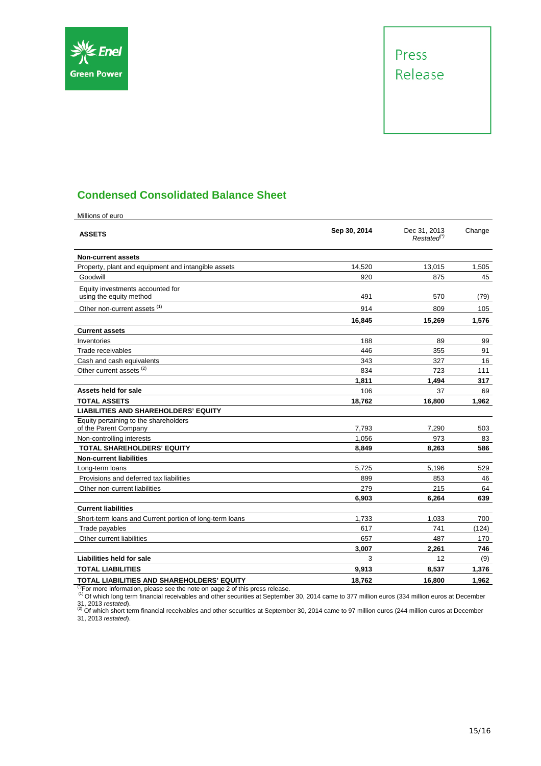



## **Condensed Consolidated Balance Sheet**

| Millions of euro                                                          |              |                                         |              |
|---------------------------------------------------------------------------|--------------|-----------------------------------------|--------------|
| <b>ASSETS</b>                                                             | Sep 30, 2014 | Dec 31, 2013<br>Restated <sup>(*)</sup> | Change       |
| <b>Non-current assets</b>                                                 |              |                                         |              |
| Property, plant and equipment and intangible assets                       | 14,520       | 13,015                                  | 1,505        |
| Goodwill                                                                  | 920          | 875                                     | 45           |
| Equity investments accounted for<br>using the equity method               | 491          | 570                                     | (79)         |
| Other non-current assets (1)                                              | 914          | 809                                     | 105          |
|                                                                           | 16,845       | 15,269                                  | 1,576        |
| <b>Current assets</b>                                                     |              |                                         |              |
| Inventories                                                               | 188          | 89                                      | 99           |
| Trade receivables                                                         | 446          | 355                                     | 91           |
| Cash and cash equivalents                                                 | 343          | 327                                     | 16           |
| Other current assets <sup>(2)</sup>                                       | 834          | 723                                     | 111          |
|                                                                           | 1,811        | 1,494                                   | 317          |
| Assets held for sale                                                      | 106          | 37                                      | 69           |
| <b>TOTAL ASSETS</b>                                                       | 18,762       | 16,800                                  | 1,962        |
| <b>LIABILITIES AND SHAREHOLDERS' EQUITY</b>                               |              |                                         |              |
| Equity pertaining to the shareholders                                     |              |                                         |              |
| of the Parent Company                                                     | 7,793        | 7,290                                   | 503          |
| Non-controlling interests                                                 | 1,056        | 973                                     | 83           |
| <b>TOTAL SHAREHOLDERS' EQUITY</b>                                         | 8,849        | 8,263                                   | 586          |
| <b>Non-current liabilities</b>                                            |              |                                         |              |
| Long-term loans                                                           | 5,725        | 5,196                                   | 529          |
| Provisions and deferred tax liabilities                                   | 899          | 853                                     | 46           |
| Other non-current liabilities                                             | 279          | 215                                     | 64<br>639    |
| <b>Current liabilities</b>                                                | 6.903        | 6.264                                   |              |
|                                                                           | 1,733        | 1,033                                   |              |
| Short-term loans and Current portion of long-term loans<br>Trade payables | 617          | 741                                     | 700<br>(124) |
| Other current liabilities                                                 | 657          | 487                                     | 170          |
|                                                                           | 3.007        | 2.261                                   | 746          |
| Liabilities held for sale                                                 | 3            | 12                                      | (9)          |
| <b>TOTAL LIABILITIES</b>                                                  | 9,913        | 8,537                                   | 1,376        |
| TOTAL LIABILITIES AND SHAREHOLDERS' EQUITY                                | 18,762       | 16,800                                  | 1,962        |
|                                                                           |              |                                         |              |

( $^{17}$ For more information, please see the note on page 2 of this press release.<br>(1) Of which long term financial receivables and other securities at September 30, 2014 came to 377 million euros (334 million euros at Dec

31, 2013 *restated*).<br><sup>(2)</sup> Of which short term financial receivables and other securities at September 30, 2014 came to 97 million euros (244 million euros at December 31, 2013 *restated*).